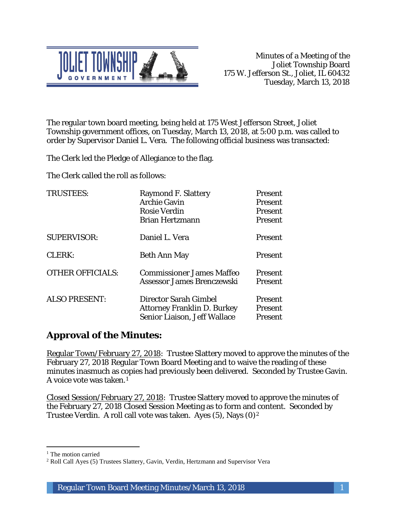

The regular town board meeting, being held at 175 West Jefferson Street, Joliet Township government offices, on Tuesday, March 13, 2018, at 5:00 p.m. was called to order by Supervisor Daniel L. Vera. The following official business was transacted:

The Clerk led the Pledge of Allegiance to the flag.

The Clerk called the roll as follows:

| <b>TRUSTEES:</b>        | <b>Raymond F. Slattery</b><br><b>Archie Gavin</b><br><b>Rosie Verdin</b><br><b>Brian Hertzmann</b> | Present<br><b>Present</b><br>Present<br>Present |
|-------------------------|----------------------------------------------------------------------------------------------------|-------------------------------------------------|
| <b>SUPERVISOR:</b>      | Daniel L. Vera                                                                                     | <b>Present</b>                                  |
| CLERK:                  | <b>Beth Ann May</b>                                                                                | <b>Present</b>                                  |
| <b>OTHER OFFICIALS:</b> | <b>Commissioner James Maffeo</b><br>Assessor James Brenczewski                                     | <b>Present</b><br>Present                       |
| <b>ALSO PRESENT:</b>    | Director Sarah Gimbel<br><b>Attorney Franklin D. Burkey</b><br>Senior Liaison, Jeff Wallace        | Present<br>Present<br>Present                   |

# **Approval of the Minutes:**

Regular Town/February 27, 2018: Trustee Slattery moved to approve the minutes of the February 27, 2018 Regular Town Board Meeting and to waive the reading of these minutes inasmuch as copies had previously been delivered. Seconded by Trustee Gavin. A voice vote was taken.1

Closed Session/February 27, 2018: Trustee Slattery moved to approve the minutes of the February 27, 2018 Closed Session Meeting as to form and content. Seconded by Trustee Verdin. A roll call vote was taken. Ayes (5), Nays (0)2

I <sup>1</sup> The motion carried

<sup>2</sup> Roll Call Ayes (5) Trustees Slattery, Gavin, Verdin, Hertzmann and Supervisor Vera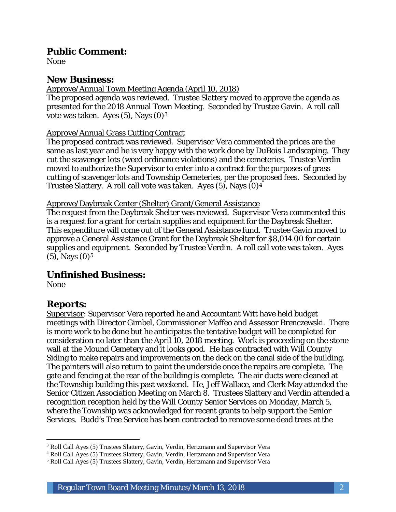### **Public Comment:**

None

## **New Business:**

Approve/Annual Town Meeting Agenda (April 10, 2018)

The proposed agenda was reviewed. Trustee Slattery moved to approve the agenda as presented for the 2018 Annual Town Meeting. Seconded by Trustee Gavin. A roll call vote was taken. Ayes  $(5)$ , Nays  $(0)<sup>3</sup>$ 

#### Approve/Annual Grass Cutting Contract

The proposed contract was reviewed. Supervisor Vera commented the prices are the same as last year and he is very happy with the work done by DuBois Landscaping. They cut the scavenger lots (weed ordinance violations) and the cemeteries. Trustee Verdin moved to authorize the Supervisor to enter into a contract for the purposes of grass cutting of scavenger lots and Township Cemeteries, per the proposed fees. Seconded by Trustee Slattery. A roll call vote was taken. Ayes (5), Nays (0)4

Approve/Daybreak Center (Shelter) Grant/General Assistance

The request from the Daybreak Shelter was reviewed. Supervisor Vera commented this is a request for a grant for certain supplies and equipment for the Daybreak Shelter. This expenditure will come out of the General Assistance fund. Trustee Gavin moved to approve a General Assistance Grant for the Daybreak Shelter for \$8,014.00 for certain supplies and equipment. Seconded by Trustee Verdin. A roll call vote was taken. Ayes  $(5)$ , Nays  $(0)$ <sup>5</sup>

## **Unfinished Business:**

None

I

## **Reports:**

Supervisor: Supervisor Vera reported he and Accountant Witt have held budget meetings with Director Gimbel, Commissioner Maffeo and Assessor Brenczewski. There is more work to be done but he anticipates the tentative budget will be completed for consideration no later than the April 10, 2018 meeting. Work is proceeding on the stone wall at the Mound Cemetery and it looks good. He has contracted with Will County Siding to make repairs and improvements on the deck on the canal side of the building. The painters will also return to paint the underside once the repairs are complete. The gate and fencing at the rear of the building is complete. The air ducts were cleaned at the Township building this past weekend. He, Jeff Wallace, and Clerk May attended the Senior Citizen Association Meeting on March 8. Trustees Slattery and Verdin attended a recognition reception held by the Will County Senior Services on Monday, March 5, where the Township was acknowledged for recent grants to help support the Senior Services. Budd's Tree Service has been contracted to remove some dead trees at the

<sup>3</sup> Roll Call Ayes (5) Trustees Slattery, Gavin, Verdin, Hertzmann and Supervisor Vera

<sup>4</sup> Roll Call Ayes (5) Trustees Slattery, Gavin, Verdin, Hertzmann and Supervisor Vera

<sup>5</sup> Roll Call Ayes (5) Trustees Slattery, Gavin, Verdin, Hertzmann and Supervisor Vera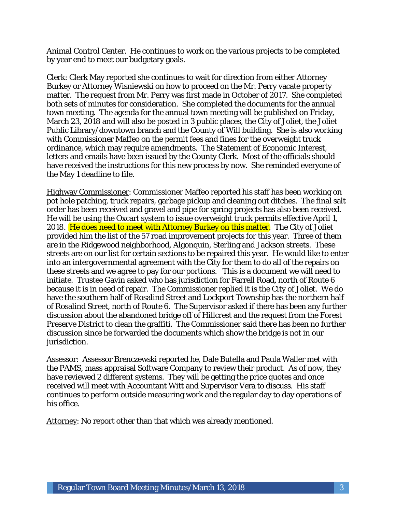Animal Control Center. He continues to work on the various projects to be completed by year end to meet our budgetary goals.

Clerk: Clerk May reported she continues to wait for direction from either Attorney Burkey or Attorney Wisniewski on how to proceed on the Mr. Perry vacate property matter. The request from Mr. Perry was first made in October of 2017. She completed both sets of minutes for consideration. She completed the documents for the annual town meeting. The agenda for the annual town meeting will be published on Friday, March 23, 2018 and will also be posted in 3 public places, the City of Joliet, the Joliet Public Library/downtown branch and the County of Will building. She is also working with Commissioner Maffeo on the permit fees and fines for the overweight truck ordinance, which may require amendments. The Statement of Economic Interest, letters and emails have been issued by the County Clerk. Most of the officials should have received the instructions for this new process by now. She reminded everyone of the May 1 deadline to file.

Highway Commissioner: Commissioner Maffeo reported his staff has been working on pot hole patching, truck repairs, garbage pickup and cleaning out ditches. The final salt order has been received and gravel and pipe for spring projects has also been received. He will be using the Oxcart system to issue overweight truck permits effective April 1, 2018. He does need to meet with Attorney Burkey on this matter. The City of Joliet provided him the list of the 57 road improvement projects for this year. Three of them are in the Ridgewood neighborhood, Algonquin, Sterling and Jackson streets. These streets are on our list for certain sections to be repaired this year. He would like to enter into an intergovernmental agreement with the City for them to do all of the repairs on these streets and we agree to pay for our portions. This is a document we will need to initiate. Trustee Gavin asked who has jurisdiction for Farrell Road, north of Route 6 because it is in need of repair. The Commissioner replied it is the City of Joliet. We do have the southern half of Rosalind Street and Lockport Township has the northern half of Rosalind Street, north of Route 6. The Supervisor asked if there has been any further discussion about the abandoned bridge off of Hillcrest and the request from the Forest Preserve District to clean the graffiti. The Commissioner said there has been no further discussion since he forwarded the documents which show the bridge is not in our jurisdiction.

Assessor: Assessor Brenczewski reported he, Dale Butella and Paula Waller met with the PAMS, mass appraisal Software Company to review their product. As of now, they have reviewed 2 different systems. They will be getting the price quotes and once received will meet with Accountant Witt and Supervisor Vera to discuss. His staff continues to perform outside measuring work and the regular day to day operations of his office.

Attorney: No report other than that which was already mentioned.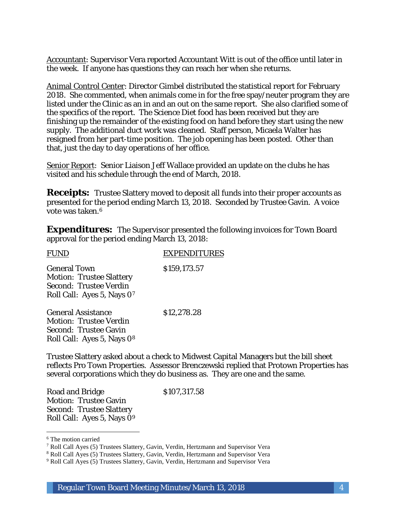Accountant: Supervisor Vera reported Accountant Witt is out of the office until later in the week. If anyone has questions they can reach her when she returns.

Animal Control Center: Director Gimbel distributed the statistical report for February 2018. She commented, when animals come in for the free spay/neuter program they are listed under the Clinic as an in and an out on the same report. She also clarified some of the specifics of the report. The Science Diet food has been received but they are finishing up the remainder of the existing food on hand before they start using the new supply. The additional duct work was cleaned. Staff person, Micaela Walter has resigned from her part-time position. The job opening has been posted. Other than that, just the day to day operations of her office.

Senior Report: Senior Liaison Jeff Wallace provided an update on the clubs he has visited and his schedule through the end of March, 2018.

**Receipts:** Trustee Slattery moved to deposit all funds into their proper accounts as presented for the period ending March 13, 2018. Seconded by Trustee Gavin. A voice vote was taken.6

**Expenditures:** The Supervisor presented the following invoices for Town Board approval for the period ending March 13, 2018:

| <b>FUND</b>                                                                                                    | <b>EXPENDITURES</b> |
|----------------------------------------------------------------------------------------------------------------|---------------------|
| <b>General Town</b><br><b>Motion: Trustee Slattery</b><br>Second: Trustee Verdin<br>Roll Call: Ayes 5, Nays 07 | \$159,173.57        |
| <b>General Assistance</b><br><b>Motion: Trustee Verdin</b><br><b>Second: Trustee Gavin</b>                     | \$12,278.28         |

Trustee Slattery asked about a check to Midwest Capital Managers but the bill sheet reflects Pro Town Properties. Assessor Brenczewski replied that Protown Properties has several corporations which they do business as. They are one and the same.

Road and Bridge \$107,317.58 Motion: Trustee Gavin Second: Trustee Slattery Roll Call: Ayes 5, Nays 09

Roll Call: Ayes 5, Nays 08

 $\overline{a}$ <sup>6</sup> The motion carried

<sup>7</sup> Roll Call Ayes (5) Trustees Slattery, Gavin, Verdin, Hertzmann and Supervisor Vera

<sup>8</sup> Roll Call Ayes (5) Trustees Slattery, Gavin, Verdin, Hertzmann and Supervisor Vera

<sup>9</sup> Roll Call Ayes (5) Trustees Slattery, Gavin, Verdin, Hertzmann and Supervisor Vera